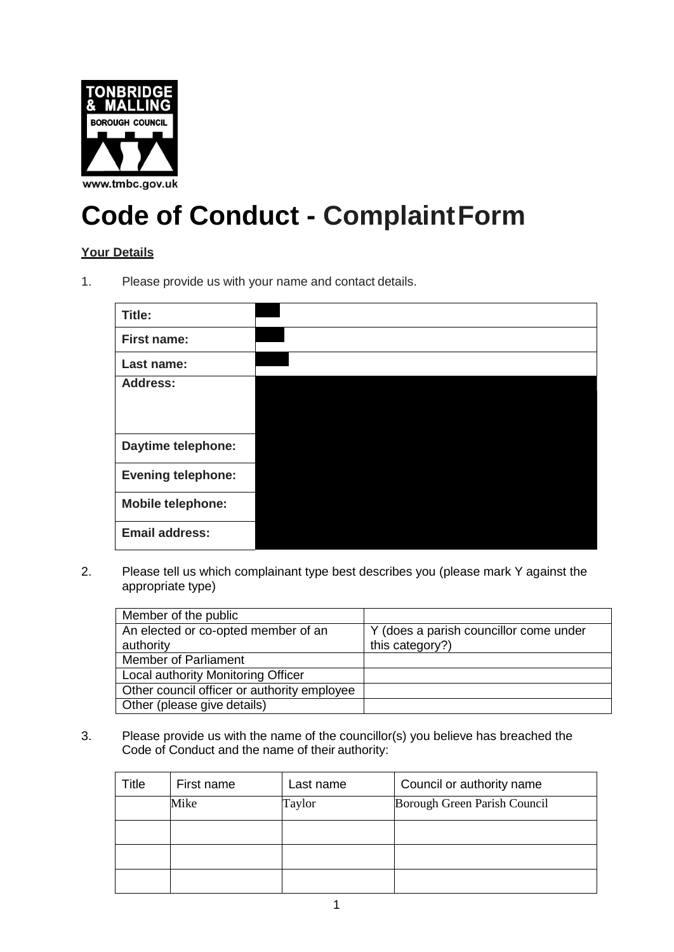

## **Code of Conduct - ComplaintForm**

## **Your Details**

1. Please provide us with your name and contact details.

| <b>Title:</b>             |  |
|---------------------------|--|
| <b>First name:</b>        |  |
| Last name:                |  |
| <b>Address:</b>           |  |
|                           |  |
|                           |  |
| <b>Daytime telephone:</b> |  |
| <b>Evening telephone:</b> |  |
| <b>Mobile telephone:</b>  |  |
| <b>Email address:</b>     |  |

2. Please tell us which complainant type best describes you (please mark Y against the appropriate type)

| Member of the public                        |                                        |
|---------------------------------------------|----------------------------------------|
| An elected or co-opted member of an         | Y (does a parish councillor come under |
| authority                                   | this category?)                        |
| <b>Member of Parliament</b>                 |                                        |
| Local authority Monitoring Officer          |                                        |
| Other council officer or authority employee |                                        |
| Other (please give details)                 |                                        |

3. Please provide us with the name of the councillor(s) you believe has breached the Code of Conduct and the name of their authority:

| Title | First name | Last name | Council or authority name    |
|-------|------------|-----------|------------------------------|
|       | Mike       | Taylor    | Borough Green Parish Council |
|       |            |           |                              |
|       |            |           |                              |
|       |            |           |                              |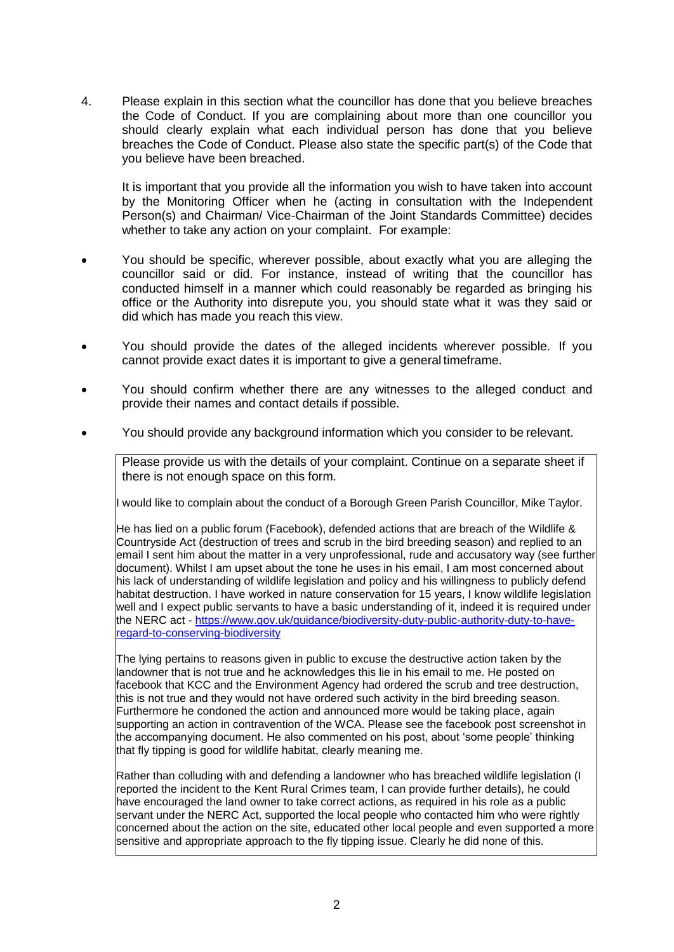4. Please explain in this section what the councillor has done that you believe breaches the Code of Conduct. If you are complaining about more than one councillor you should clearly explain what each individual person has done that you believe breaches the Code of Conduct. Please also state the specific part(s) of the Code that you believe have been breached.

It is important that you provide all the information you wish to have taken into account by the Monitoring Officer when he (acting in consultation with the Independent Person(s) and Chairman/ Vice-Chairman of the Joint Standards Committee) decides whether to take any action on your complaint. For example:

- You should be specific, wherever possible, about exactly what you are alleging the councillor said or did. For instance, instead of writing that the councillor has conducted himself in a manner which could reasonably be regarded as bringing his office or the Authority into disrepute you, you should state what it was they said or did which has made you reach this view.
- You should provide the dates of the alleged incidents wherever possible. If you cannot provide exact dates it is important to give a general timeframe.
- You should confirm whether there are any witnesses to the alleged conduct and provide their names and contact details if possible.
- You should provide any background information which you consider to be relevant.

Please provide us with the details of your complaint. Continue on a separate sheet if there is not enough space on this form.

I would like to complain about the conduct of a Borough Green Parish Councillor, Mike Taylor.

He has lied on a public forum (Facebook), defended actions that are breach of the Wildlife & Countryside Act (destruction of trees and scrub in the bird breeding season) and replied to an email I sent him about the matter in a very unprofessional, rude and accusatory way (see further document). Whilst I am upset about the tone he uses in his email, I am most concerned about his lack of understanding of wildlife legislation and policy and his willingness to publicly defend habitat destruction. I have worked in nature conservation for 15 years, I know wildlife legislation well and I expect public servants to have a basic understanding of it, indeed it is required under the NERC act - https:/[/www.gov.uk/guidance/biodiversity-duty-public-authority-duty-to-have](http://www.gov.uk/guidance/biodiversity-duty-public-authority-duty-to-have-)regard-to-conserving-biodiversity

The lying pertains to reasons given in public to excuse the destructive action taken by the landowner that is not true and he acknowledges this lie in his email to me. He posted on facebook that KCC and the Environment Agency had ordered the scrub and tree destruction, this is not true and they would not have ordered such activity in the bird breeding season. Furthermore he condoned the action and announced more would be taking place, again supporting an action in contravention of the WCA. Please see the facebook post screenshot in the accompanying document. He also commented on his post, about 'some people' thinking that fly tipping is good for wildlife habitat, clearly meaning me.

Rather than colluding with and defending a landowner who has breached wildlife legislation (I reported the incident to the Kent Rural Crimes team, I can provide further details), he could have encouraged the land owner to take correct actions, as required in his role as a public servant under the NERC Act, supported the local people who contacted him who were rightly concerned about the action on the site, educated other local people and even supported a more sensitive and appropriate approach to the fly tipping issue. Clearly he did none of this.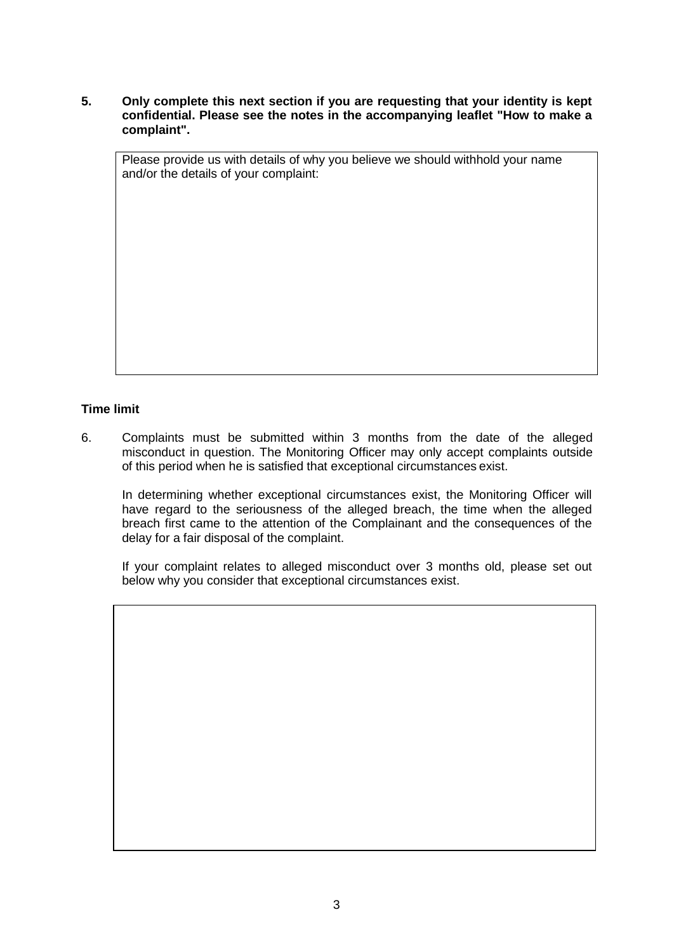**5. Only complete this next section if you are requesting that your identity is kept confidential. Please see the notes in the accompanying leaflet "How to make a complaint".**

Please provide us with details of why you believe we should withhold your name and/or the details of your complaint:

## **Time limit**

6. Complaints must be submitted within 3 months from the date of the alleged misconduct in question. The Monitoring Officer may only accept complaints outside of this period when he is satisfied that exceptional circumstances exist.

In determining whether exceptional circumstances exist, the Monitoring Officer will have regard to the seriousness of the alleged breach, the time when the alleged breach first came to the attention of the Complainant and the consequences of the delay for a fair disposal of the complaint.

If your complaint relates to alleged misconduct over 3 months old, please set out below why you consider that exceptional circumstances exist.